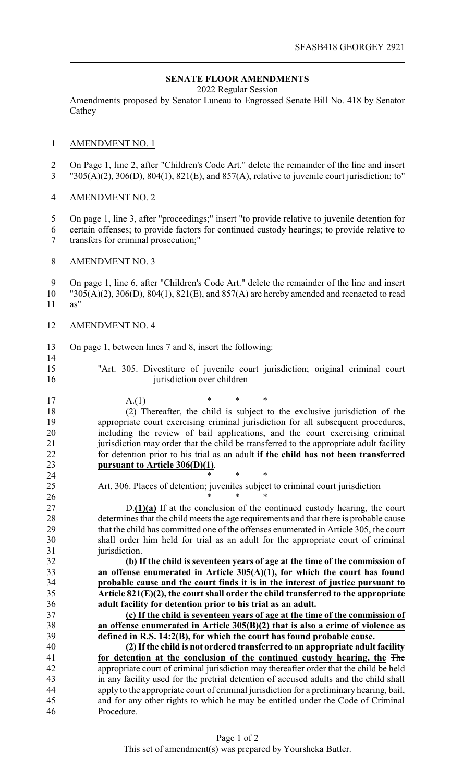## **SENATE FLOOR AMENDMENTS**

2022 Regular Session

Amendments proposed by Senator Luneau to Engrossed Senate Bill No. 418 by Senator Cathey

### AMENDMENT NO. 1

 On Page 1, line 2, after "Children's Code Art." delete the remainder of the line and insert "305(A)(2), 306(D), 804(1), 821(E), and 857(A), relative to juvenile court jurisdiction; to"

# AMENDMENT NO. 2

 On page 1, line 3, after "proceedings;" insert "to provide relative to juvenile detention for certain offenses; to provide factors for continued custody hearings; to provide relative to transfers for criminal prosecution;"

### AMENDMENT NO. 3

9 On page 1, line 6, after "Children's Code Art." delete the remainder of the line and insert 10 "305(A)(2), 306(D), 804(1), 821(E), and 857(A) are hereby amended and reenacted to read  $19305(A)(2)$ ,  $306(D)$ ,  $804(1)$ ,  $821(E)$ , and  $857(A)$  are hereby amended and reenacted to read as"

### AMENDMENT NO. 4

- On page 1, between lines 7 and 8, insert the following:
- 

 "Art. 305. Divestiture of juvenile court jurisdiction; original criminal court 16 jurisdiction over children

| 17     | $\ast$<br>*<br>$\ast$<br>A.(1)                                                           |
|--------|------------------------------------------------------------------------------------------|
| 18     | (2) Thereafter, the child is subject to the exclusive jurisdiction of the                |
| 19     | appropriate court exercising criminal jurisdiction for all subsequent procedures,        |
| 20     | including the review of bail applications, and the court exercising criminal             |
| 21     | jurisdiction may order that the child be transferred to the appropriate adult facility   |
| 22     | for detention prior to his trial as an adult if the child has not been transferred       |
| 23     | pursuant to Article 306(D)(1).                                                           |
| 24     | $\ast$<br>$\ast$                                                                         |
| 25     | Art. 306. Places of detention; juveniles subject to criminal court jurisdiction          |
| 26     |                                                                                          |
| $27\,$ | $D(1)(a)$ If at the conclusion of the continued custody hearing, the court               |
| 28     | determines that the child meets the age requirements and that there is probable cause    |
| 29     | that the child has committed one of the offenses enumerated in Article 305, the court    |
| 30     | shall order him held for trial as an adult for the appropriate court of criminal         |
| 31     | jurisdiction.                                                                            |
| 32     | (b) If the child is seventeen years of age at the time of the commission of              |
| 33     | an offense enumerated in Article $305(A)(1)$ , for which the court has found             |
| 34     | probable cause and the court finds it is in the interest of justice pursuant to          |
| 35     | Article $821(E)(2)$ , the court shall order the child transferred to the appropriate     |
| 36     | adult facility for detention prior to his trial as an adult.                             |
| 37     | (c) If the child is seventeen years of age at the time of the commission of              |
| 38     | an offense enumerated in Article $305(B)(2)$ that is also a crime of violence as         |
| 39     | defined in R.S. 14:2(B), for which the court has found probable cause.                   |
| 40     | (2) If the child is not ordered transferred to an appropriate adult facility             |
| 41     | for detention at the conclusion of the continued custody hearing, the The                |
| 42     | appropriate court of criminal jurisdiction may thereafter order that the child be held   |
| 43     | in any facility used for the pretrial detention of accused adults and the child shall    |
| 44     | apply to the appropriate court of criminal jurisdiction for a preliminary hearing, bail, |
| 45     | and for any other rights to which he may be entitled under the Code of Criminal          |
| 46     | Procedure.                                                                               |
|        |                                                                                          |